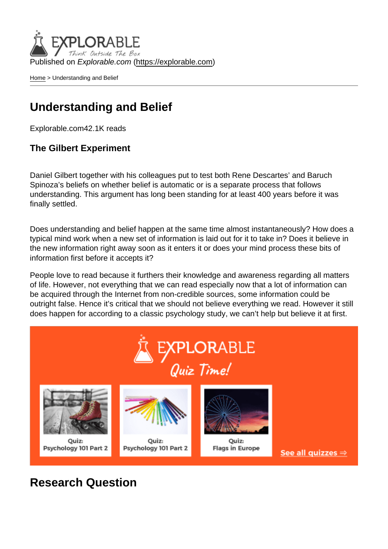Published on Explorable.com (<https://explorable.com>)

[Home](https://explorable.com/) > Understanding and Belief

### Understanding and Belief

Explorable.com42.1K reads

The Gilbert Experiment

Daniel Gilbert together with his colleagues put to test both Rene Descartes' and Baruch Spinoza's beliefs on whether belief is automatic or is a separate process that follows understanding. This argument has long been standing for at least 400 years before it was finally settled.

Does understanding and belief happen at the same time almost instantaneously? How does a typical mind work when a new set of information is laid out for it to take in? Does it believe in the new information right away soon as it enters it or does your mind process these bits of information first before it accepts it?

People love to read because it furthers their knowledge and awareness regarding all matters of life. However, not everything that we can read especially now that a lot of information can be acquired through the Internet from non-credible sources, some information could be outright false. Hence it's critical that we should not believe everything we read. However it still does happen for according to a classic psychology study, we can't help but believe it at first.

Research Question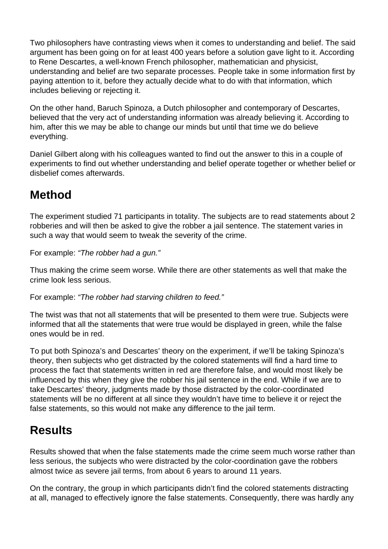Two philosophers have contrasting views when it comes to understanding and belief. The said argument has been going on for at least 400 years before a solution gave light to it. According to Rene Descartes, a well-known French philosopher, mathematician and physicist, understanding and belief are two separate processes. People take in some information first by paying attention to it, before they actually decide what to do with that information, which includes believing or rejecting it.

On the other hand, Baruch Spinoza, a Dutch philosopher and contemporary of Descartes, believed that the very act of understanding information was already believing it. According to him, after this we may be able to change our minds but until that time we do believe everything.

Daniel Gilbert along with his colleagues wanted to find out the answer to this in a couple of experiments to find out whether understanding and belief operate together or whether belief or disbelief comes afterwards.

# **Method**

The experiment studied 71 participants in totality. The subjects are to read statements about 2 robberies and will then be asked to give the robber a jail sentence. The statement varies in such a way that would seem to tweak the severity of the crime.

For example: "The robber had a gun."

Thus making the crime seem worse. While there are other statements as well that make the crime look less serious.

For example: "The robber had starving children to feed."

The twist was that not all statements that will be presented to them were true. Subjects were informed that all the statements that were true would be displayed in green, while the false ones would be in red.

To put both Spinoza's and Descartes' theory on the experiment, if we'll be taking Spinoza's theory, then subjects who get distracted by the colored statements will find a hard time to process the fact that statements written in red are therefore false, and would most likely be influenced by this when they give the robber his jail sentence in the end. While if we are to take Descartes' theory, judgments made by those distracted by the color-coordinated statements will be no different at all since they wouldn't have time to believe it or reject the false statements, so this would not make any difference to the jail term.

#### **Results**

Results showed that when the false statements made the crime seem much worse rather than less serious, the subjects who were distracted by the color-coordination gave the robbers almost twice as severe jail terms, from about 6 years to around 11 years.

On the contrary, the group in which participants didn't find the colored statements distracting at all, managed to effectively ignore the false statements. Consequently, there was hardly any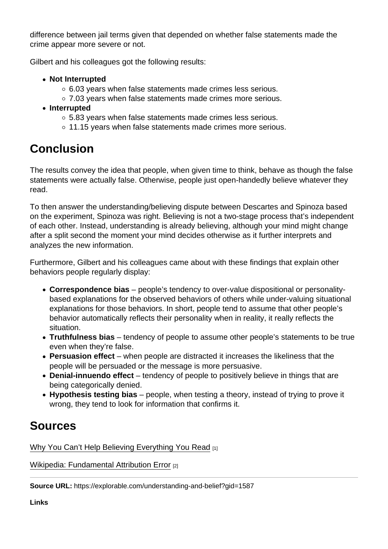difference between jail terms given that depended on whether false statements made the crime appear more severe or not.

Gilbert and his colleagues got the following results:

- Not Interrupted
	- 6.03 years when false statements made crimes less serious.
	- 7.03 years when false statements made crimes more serious.
- Interrupted
	- 5.83 years when false statements made crimes less serious.
	- 11.15 years when false statements made crimes more serious.

# **Conclusion**

The results convey the idea that people, when given time to think, behave as though the false statements were actually false. Otherwise, people just open-handedly believe whatever they read.

To then answer the understanding/believing dispute between Descartes and Spinoza based on the experiment, Spinoza was right. Believing is not a two-stage process that's independent of each other. Instead, understanding is already believing, although your mind might change after a split second the moment your mind decides otherwise as it further interprets and analyzes the new information.

Furthermore, Gilbert and his colleagues came about with these findings that explain other behaviors people regularly display:

- Correspondence bias people's tendency to over-value dispositional or personalitybased explanations for the observed behaviors of others while under-valuing situational explanations for those behaviors. In short, people tend to assume that other people's behavior automatically reflects their personality when in reality, it really reflects the situation.
- Truthfulness bias tendency of people to assume other people's statements to be true even when they're false.
- Persuasion effect  $-$  when people are distracted it increases the likeliness that the people will be persuaded or the message is more persuasive.
- Denial-innuendo effect  $-$  tendency of people to positively believe in things that are being categorically denied.
- $\bullet$  Hypothesis testing bias  $-$  people, when testing a theory, instead of trying to prove it wrong, they tend to look for information that confirms it.

### Sources

[Why You Can't Help Believing Everything You Read](http://www.spring.org.uk/2009/09/why-you-cant-help-believing-everything-you-read.php) [1]

[Wikipedia: Fundamental Attribution Error](http://en.wikipedia.org/wiki/Correspondence_bias) [2]

Source URL: https://explorable.com/understanding-and-belief?gid=1587

Links